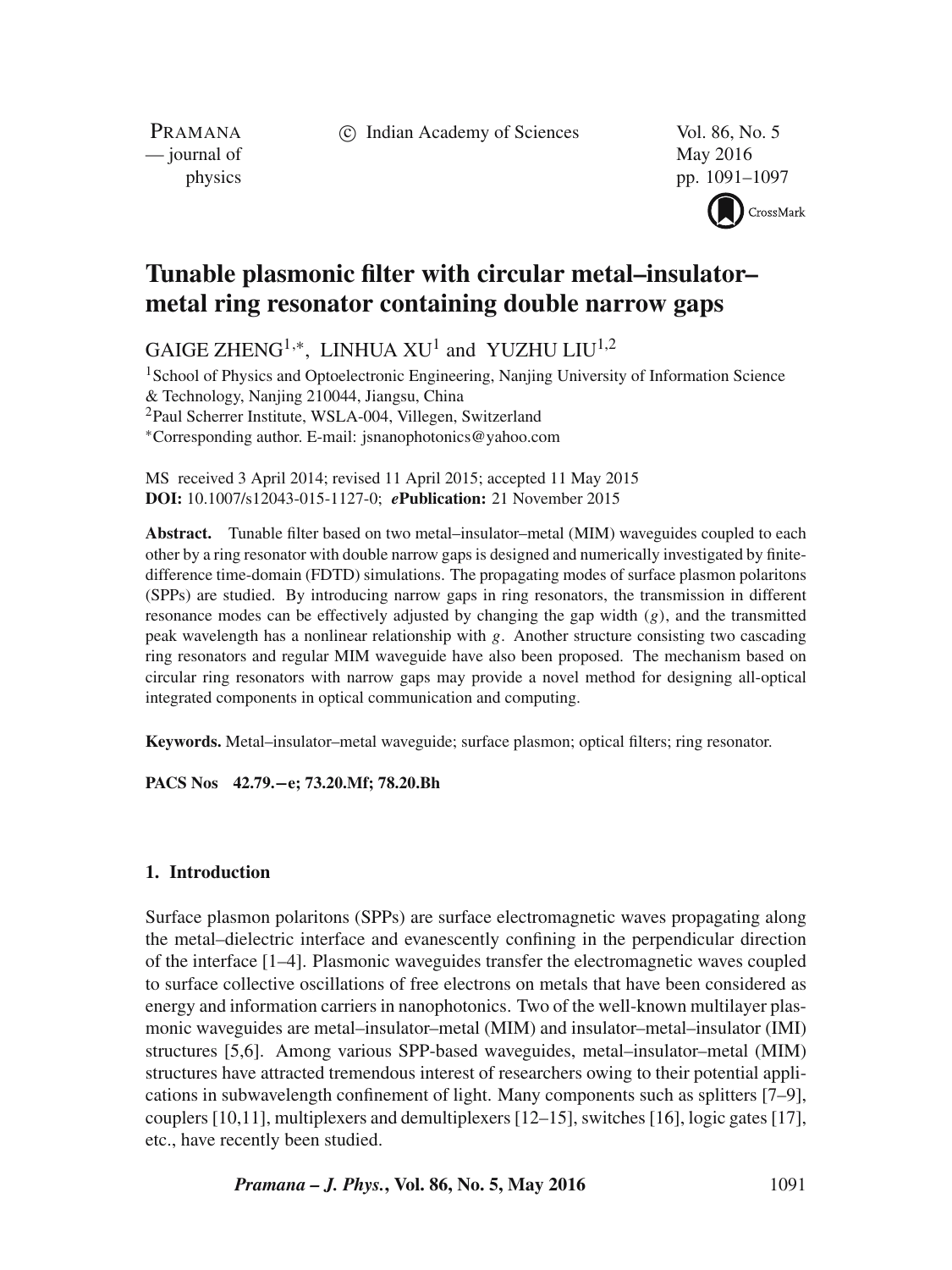c Indian Academy of Sciences Vol. 86, No. 5

PRAMANA — journal of May 2016

physics pp. 1091–1097



# **Tunable plasmonic filter with circular metal–insulator– metal ring resonator containing double narrow gaps**

GAIGE ZHENG<sup>1,\*</sup>, LINHUA XU<sup>1</sup> and YUZHU LIU<sup>1,2</sup>

<sup>1</sup> School of Physics and Optoelectronic Engineering, Nanjing University of Information Science & Technology, Nanjing 210044, Jiangsu, China 2Paul Scherrer Institute, WSLA-004, Villegen, Switzerland ∗Corresponding author. E-mail: jsnanophotonics@yahoo.com

MS received 3 April 2014; revised 11 April 2015; accepted 11 May 2015 **DOI:** 10.1007/s12043-015-1127-0; *e***Publication:** 21 November 2015

**Abstract.** Tunable filter based on two metal–insulator–metal (MIM) waveguides coupled to each other by a ring resonator with double narrow gaps is designed and numerically investigated by finitedifference time-domain (FDTD) simulations. The propagating modes of surface plasmon polaritons (SPPs) are studied. By introducing narrow gaps in ring resonators, the transmission in different resonance modes can be effectively adjusted by changing the gap width  $(g)$ , and the transmitted peak wavelength has a nonlinear relationship with  $g$ . Another structure consisting two cascading ring resonators and regular MIM waveguide have also been proposed. The mechanism based on circular ring resonators with narrow gaps may provide a novel method for designing all-optical integrated components in optical communication and computing.

**Keywords.** Metal–insulator–metal waveguide; surface plasmon; optical filters; ring resonator.

**PACS Nos 42.79.−e; 73.20.Mf; 78.20.Bh**

## **1. Introduction**

Surface plasmon polaritons (SPPs) are surface electromagnetic waves propagating along the metal–dielectric interface and evanescently confining in the perpendicular direction of the interface [1–4]. Plasmonic waveguides transfer the electromagnetic waves coupled to surface collective oscillations of free electrons on metals that have been considered as energy and information carriers in nanophotonics. Two of the well-known multilayer plasmonic waveguides are metal–insulator–metal (MIM) and insulator–metal–insulator (IMI) structures [5,6]. Among various SPP-based waveguides, metal–insulator–metal (MIM) structures have attracted tremendous interest of researchers owing to their potential applications in subwavelength confinement of light. Many components such as splitters [7–9], couplers [10,11], multiplexers and demultiplexers [12–15], switches [16], logic gates [17], etc., have recently been studied.

*Pramana – J. Phys.*, Vol. 86, No. 5, May 2016 1091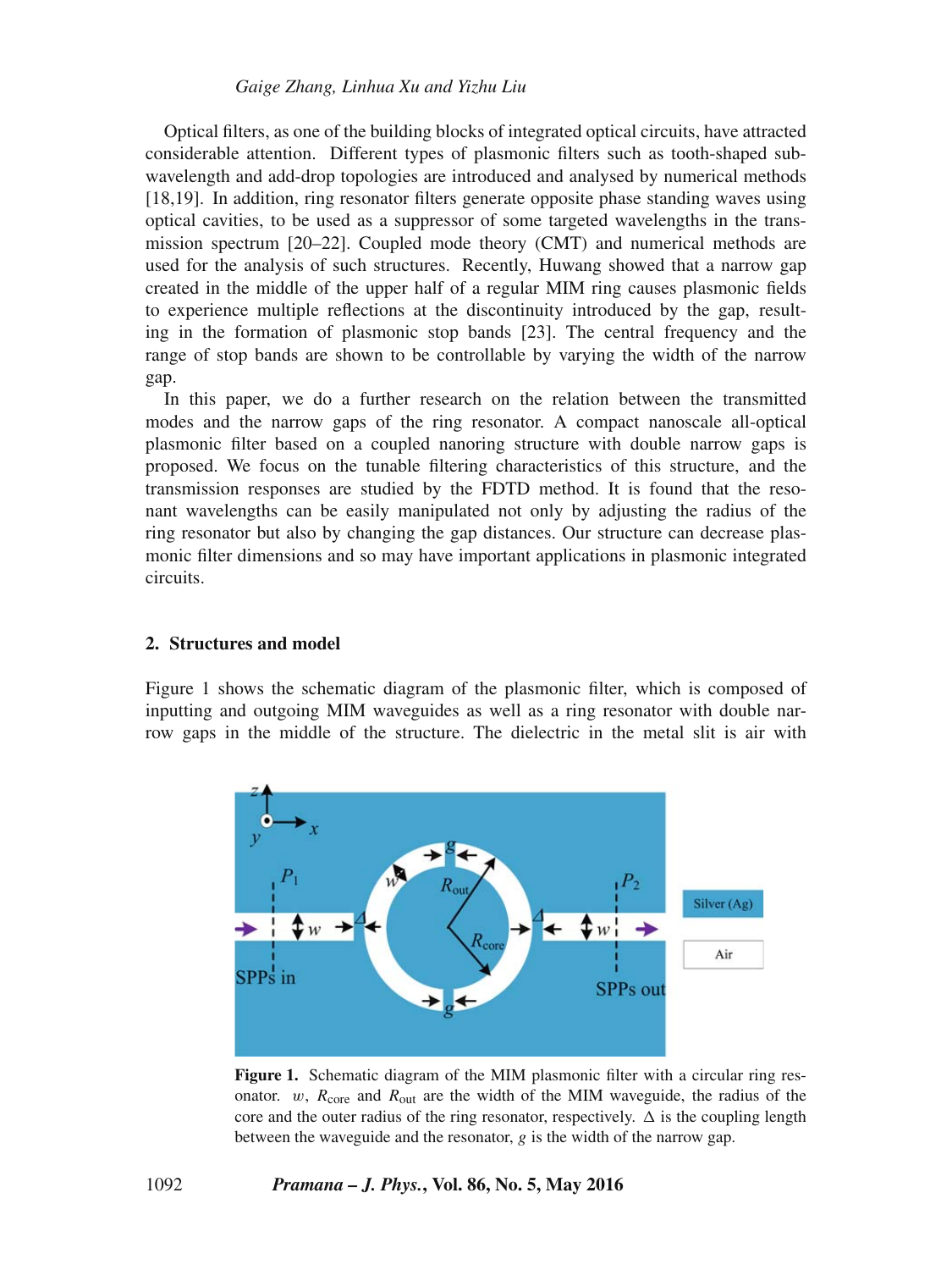Optical filters, as one of the building blocks of integrated optical circuits, have attracted considerable attention. Different types of plasmonic filters such as tooth-shaped subwavelength and add-drop topologies are introduced and analysed by numerical methods [18,19]. In addition, ring resonator filters generate opposite phase standing waves using optical cavities, to be used as a suppressor of some targeted wavelengths in the transmission spectrum [20–22]. Coupled mode theory (CMT) and numerical methods are used for the analysis of such structures. Recently, Huwang showed that a narrow gap created in the middle of the upper half of a regular MIM ring causes plasmonic fields to experience multiple reflections at the discontinuity introduced by the gap, resulting in the formation of plasmonic stop bands [23]. The central frequency and the range of stop bands are shown to be controllable by varying the width of the narrow gap.

In this paper, we do a further research on the relation between the transmitted modes and the narrow gaps of the ring resonator. A compact nanoscale all-optical plasmonic filter based on a coupled nanoring structure with double narrow gaps is proposed. We focus on the tunable filtering characteristics of this structure, and the transmission responses are studied by the FDTD method. It is found that the resonant wavelengths can be easily manipulated not only by adjusting the radius of the ring resonator but also by changing the gap distances. Our structure can decrease plasmonic filter dimensions and so may have important applications in plasmonic integrated circuits.

# **2. Structures and model**

Figure 1 shows the schematic diagram of the plasmonic filter, which is composed of inputting and outgoing MIM waveguides as well as a ring resonator with double narrow gaps in the middle of the structure. The dielectric in the metal slit is air with



**Figure 1.** Schematic diagram of the MIM plasmonic filter with a circular ring resonator. w,  $R_{\text{core}}$  and  $R_{\text{out}}$  are the width of the MIM waveguide, the radius of the core and the outer radius of the ring resonator, respectively.  $\Delta$  is the coupling length between the waveguide and the resonator, a is the width of the narrow gan between the waveguide and the resonator,  $g$  is the width of the narrow gap.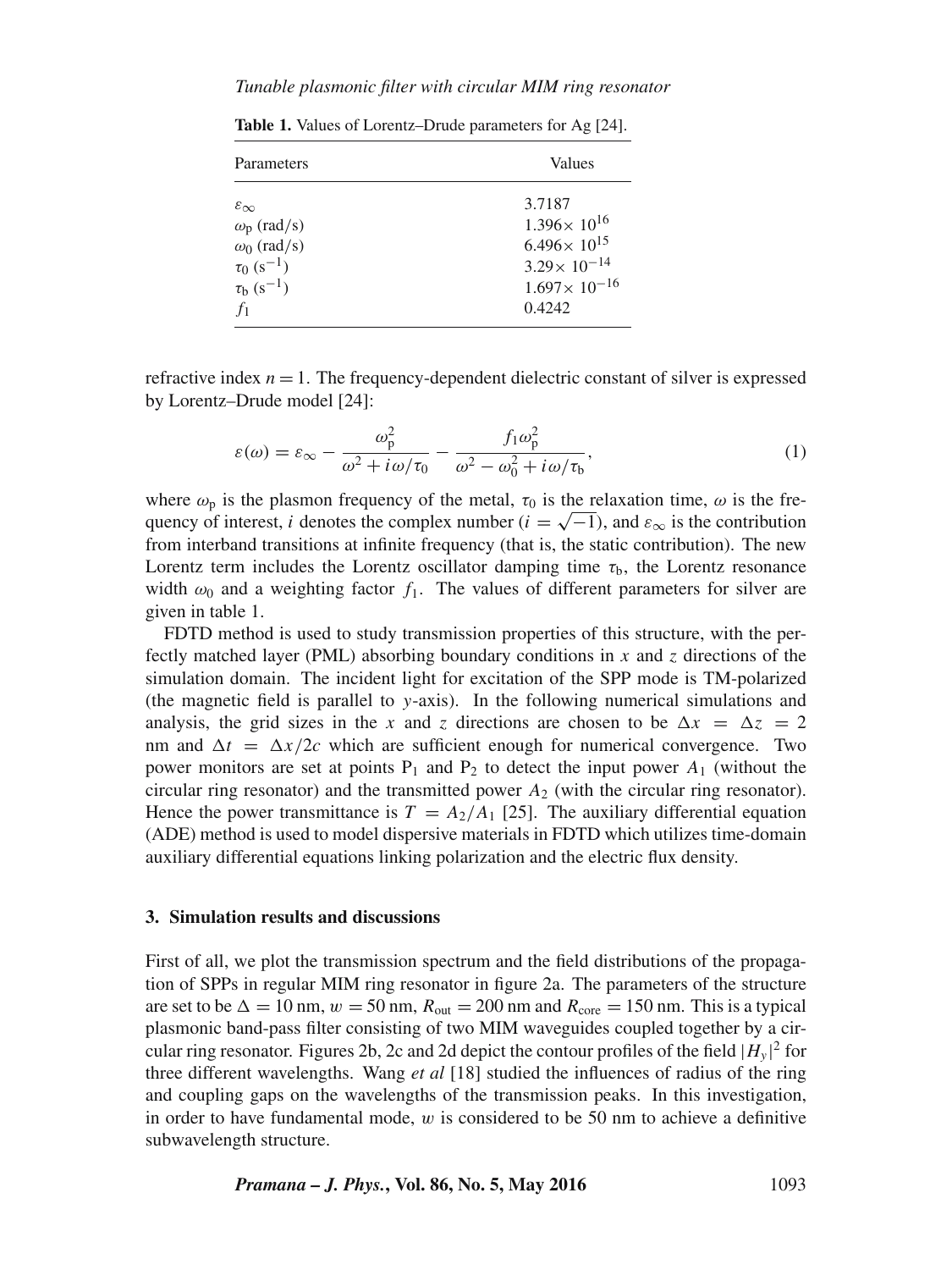#### *Tunable plasmonic filter with circular MIM ring resonator*

| Parameters                  | Values                  |
|-----------------------------|-------------------------|
| $\varepsilon_{\infty}$      | 3.7187                  |
| $\omega_{\rm p}$ (rad/s)    | $1.396 \times 10^{16}$  |
| $\omega_0$ (rad/s)          | $6.496 \times 10^{15}$  |
| $\tau_0$ (s <sup>-1</sup> ) | $3.29 \times 10^{-14}$  |
| $\tau_b$ (s <sup>-1</sup> ) | $1.697 \times 10^{-16}$ |
| $f_1$                       | 0.4242                  |

**Table 1.** Values of Lorentz–Drude parameters for Ag [24].

refractive index  $n = 1$ . The frequency-dependent dielectric constant of silver is expressed by Lorentz–Drude model [24]:

$$
\varepsilon(\omega) = \varepsilon_{\infty} - \frac{\omega_{\rm p}^2}{\omega^2 + i\omega/\tau_0} - \frac{f_1\omega_{\rm p}^2}{\omega^2 - \omega_0^2 + i\omega/\tau_{\rm b}},\tag{1}
$$

where  $\omega_p$  is the plasmon frequency of the metal,  $\tau_0$  is the relaxation time,  $\omega$  is the frequency of interest, i denotes the complex number ( $i = \sqrt{-1}$ ), and  $\varepsilon_{\infty}$  is the contribution from interband transitions at infinite frequency (that is, the static contribution). The new Lorentz term includes the Lorentz oscillator damping time  $\tau_{\rm b}$ , the Lorentz resonance width  $\omega_0$  and a weighting factor  $f_1$ . The values of different parameters for silver are given in table 1.

FDTD method is used to study transmission properties of this structure, with the perfectly matched layer (PML) absorbing boundary conditions in  $x$  and  $z$  directions of the simulation domain. The incident light for excitation of the SPP mode is TM-polarized (the magnetic field is parallel to y-axis). In the following numerical simulations and analysis, the grid sizes in the x and z directions are chosen to be  $\Delta x = \Delta z = 2$ <br>nm and  $\Delta t = \Delta x/2c$  which are sufficient enough for numerical convergence. Two  $x = \Delta$ nm and  $\Delta t = \Delta x/2c$  which are sufficient enough for numerical convergence. Two<br>power monitors are set at points P, and P, to detect the input power 4. (without the  $t = \Delta$ power monitors are set at points  $P_1$  and  $P_2$  to detect the input power  $A_1$  (without the circular ring resonator) circular ring resonator) and the transmitted power  $A_2$  (with the circular ring resonator). Hence the power transmittance is  $T = A_2/A_1$  [25]. The auxiliary differential equation (ADE) method is used to model dispersive materials in FDTD which utilizes time-domain auxiliary differential equations linking polarization and the electric flux density.

#### **3. Simulation results and discussions**

First of all, we plot the transmission spectrum and the field distributions of the propagation of SPPs in regular MIM ring resonator in figure 2a. The parameters of the structure are set to be  $\Delta = 10$  nm,  $w = 50$  nm,  $R_{\text{out}} = 200$  nm and  $R_{\text{core}} = 150$  nm. This is a typical<br>plasmonic band-pass filter consisting of two MIM waveguides coupled together by a cirplasmonic band-pass filter consisting of two MIM waveguides coupled together by a circular ring resonator. Figures 2b, 2c and 2d depict the contour profiles of the field  $|H_y|^2$  for<br>three different wavelengths. Wang *et al* [18] studied the influences of radius of the ring three different wavelengths. Wang *et al* [18] studied the influences of radius of the ring and coupling gaps on the wavelengths of the transmission peaks. In this investigation, in order to have fundamental mode,  $w$  is considered to be 50 nm to achieve a definitive subwavelength structure.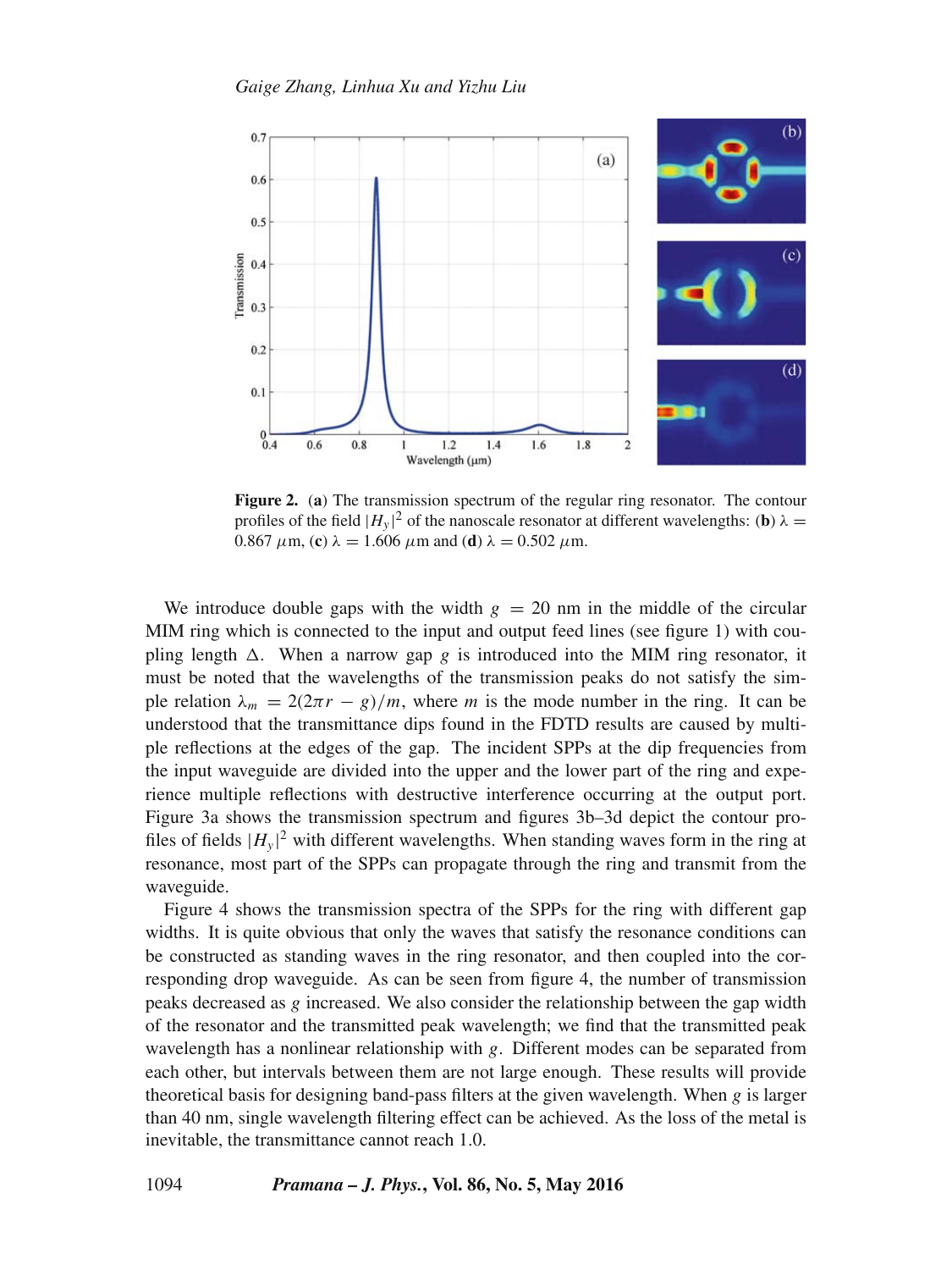

**Figure 2.** (**a**) The transmission spectrum of the regular ring resonator. The contour profiles of the field  $|H_y|^2$  of the nanoscale resonator at different wavelengths: (**b**)  $\lambda = 0.867 \mu m$  (**c**)  $\lambda = 1.606 \mu m$  and (**d**)  $\lambda = 0.502 \mu m$ 0.867  $\mu$ m, (**c**)  $\lambda = 1.606 \mu$ m and (**d**)  $\lambda = 0.502 \mu$ m.

We introduce double gaps with the width  $g = 20$  nm in the middle of the circular MIM ring which is connected to the input and output feed lines (see figure 1) with coupling length  $\Delta$ . When a narrow gap g is introduced into the MIM ring resonator, it must be noted that the wavelengths of the transmission peaks do not satisfy the simmust be noted that the wavelengths of the transmission peaks do not satisfy the simple relation  $\lambda_m = 2(2\pi r - g)/m$ , where m is the mode number in the ring. It can be understood that the transmittance dips found in the FDTD results are caused by multiple reflections at the edges of the gap. The incident SPPs at the dip frequencies from the input waveguide are divided into the upper and the lower part of the ring and experience multiple reflections with destructive interference occurring at the output port. Figure 3a shows the transmission spectrum and figures 3b–3d depict the contour profiles of fields  $|H_y|^2$  with different wavelengths. When standing waves form in the ring at resonance most part of the SPPs can propagate through the ring and transmit from the resonance, most part of the SPPs can propagate through the ring and transmit from the waveguide.

Figure 4 shows the transmission spectra of the SPPs for the ring with different gap widths. It is quite obvious that only the waves that satisfy the resonance conditions can be constructed as standing waves in the ring resonator, and then coupled into the corresponding drop waveguide. As can be seen from figure 4, the number of transmission peaks decreased as g increased. We also consider the relationship between the gap width of the resonator and the transmitted peak wavelength; we find that the transmitted peak wavelength has a nonlinear relationship with g. Different modes can be separated from each other, but intervals between them are not large enough. These results will provide theoretical basis for designing band-pass filters at the given wavelength. When  $g$  is larger than 40 nm, single wavelength filtering effect can be achieved. As the loss of the metal is inevitable, the transmittance cannot reach 1.0.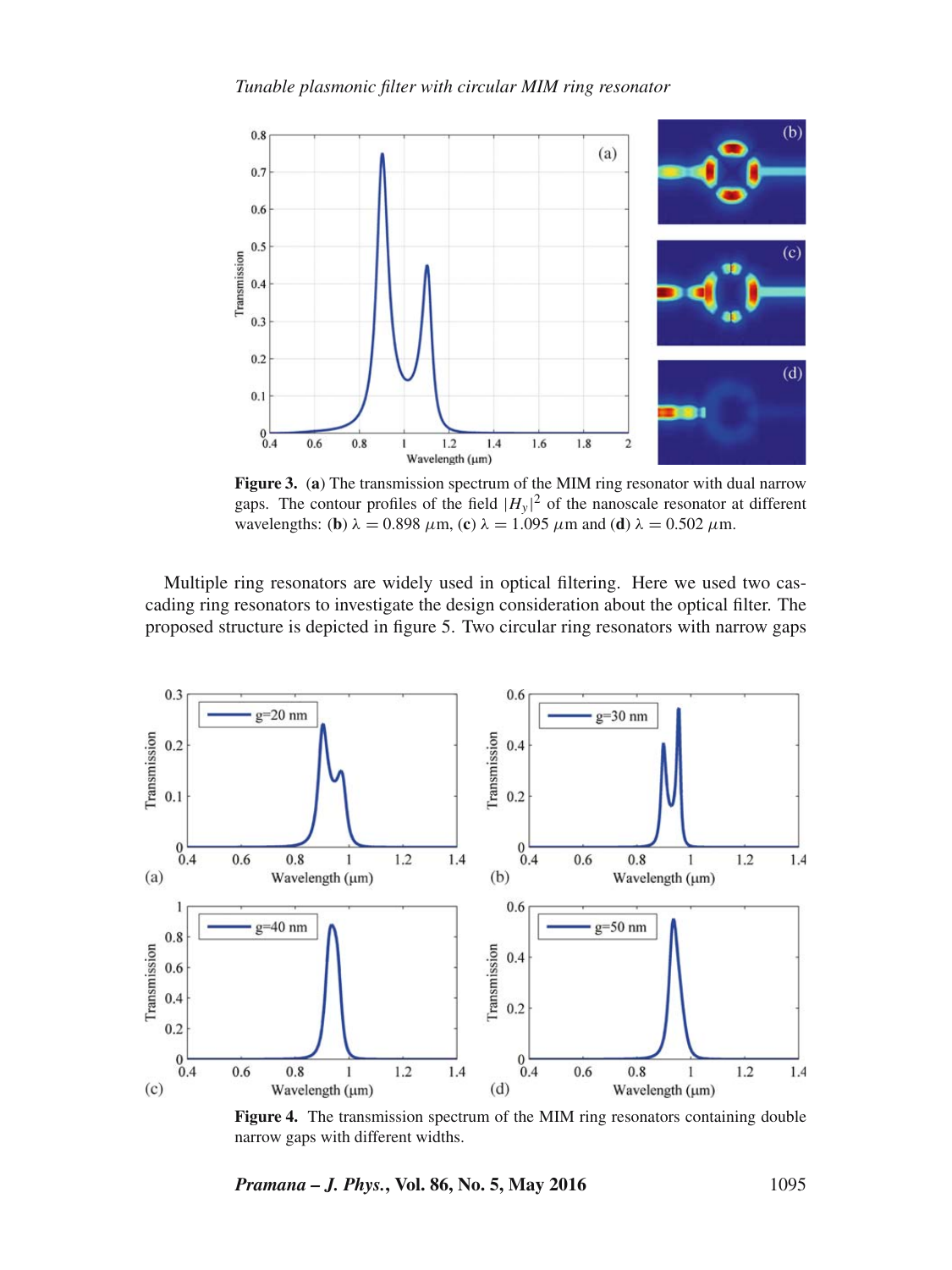

**Figure 3.** (**a**) The transmission spectrum of the MIM ring resonator with dual narrow gaps. The contour profiles of the field  $|H_y|^2$  of the nanoscale resonator at different<br>wavelengths: (b)  $\lambda = 0.898 \mu m$ , (c)  $\lambda = 1.095 \mu m$  and (d)  $\lambda = 0.502 \mu m$ wavelengths: (**b**)  $\lambda = 0.898 \mu \text{m}$ , (**c**)  $\lambda = 1.095 \mu \text{m}$  and (**d**)  $\lambda = 0.502 \mu \text{m}$ .

Multiple ring resonators are widely used in optical filtering. Here we used two cascading ring resonators to investigate the design consideration about the optical filter. The proposed structure is depicted in figure 5. Two circular ring resonators with narrow gaps



**Figure 4.** The transmission spectrum of the MIM ring resonators containing double narrow gaps with different widths.

*Pramana – J. Phys.*, Vol. 86, No. 5, May 2016 1095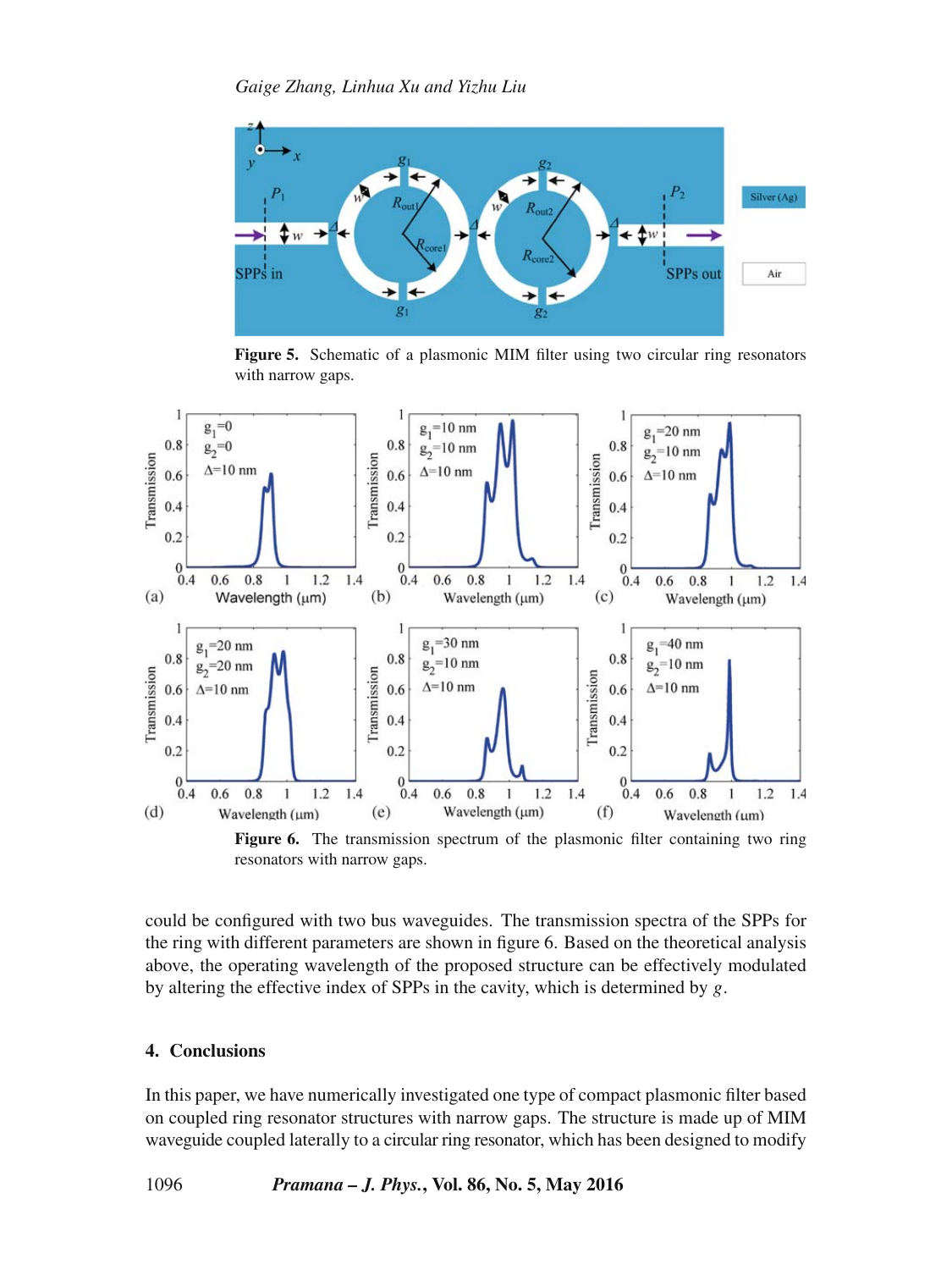

**Figure 5.** Schematic of a plasmonic MIM filter using two circular ring resonators with narrow gaps.



Figure 6. The transmission spectrum of the plasmonic filter containing two ring resonators with narrow gaps.

could be configured with two bus waveguides. The transmission spectra of the SPPs for the ring with different parameters are shown in figure 6. Based on the theoretical analysis above, the operating wavelength of the proposed structure can be effectively modulated by altering the effective index of SPPs in the cavity, which is determined by  $g$ .

# **4. Conclusions**

In this paper, we have numerically investigated one type of compact plasmonic filter based on coupled ring resonator structures with narrow gaps. The structure is made up of MIM waveguide coupled laterally to a circular ring resonator, which has been designed to modify

1096 *Pramana – J. Phys.***, Vol. 86, No. 5, May 2016**